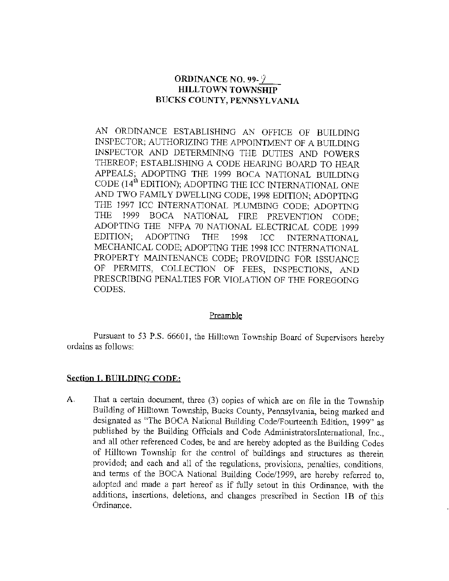## **ORDINANCE NO. 99-9. HILLTOWN TOWNSHIP BUCKS COUNTY, PENNSYLVANIA**

AN ORDINANCE ESTABLISHING AN OFFICE OF BUILDING INSPECTOR; AUTHORJZING THE APPOINTMENT OF A BUILDING INSPECTOR AND DETERMINING THE DUTIES AND POWERS THEREOF; ESTABLISHING A CODE HEARING BOARD TO HEAR APPEALS; ADOPTING THE 1999 BOCA NATIONAL BUILDING CODE (14<sup>th</sup> EDITION); ADOPTING THE ICC INTERNATIONAL ONE AND TWO FAMILY DWELLING CODE, 1998 EDITION; ADOPTING THE 1997 ICC INTERNATIONAL PLUMBING CODE; ADOPTING THE 1999 BOCA NATIONAL FIRE PREVENTION CODE; ADOPTING THE NFPA 70 NATJONAL ELECTRICAL CODE 1999 EDITION; ADOPTING THE 1998 ICC INTERNATIONAL MECHANICAL CODE; ADOPTING THE 1998 ICC INTERNATIONAL PROPERTY MAINTENANCE CODE; PROVIDING FOR ISSUANCE OF PERMITS, COLLECTION OF FEES, INSPECTIONS, AND PRESCRIBING PENALTIES FOR VIOLATION OF THE FOREGOING CODES.

### Preamble

Pursuant to 53 P.S. 66601, the HilJtown Township Board of Supervisors hereby ordains as follows:

### **Section 1. BUILDING CODE:**

A. That a certain document, three (3) copies of which are on file in the Township Building of Hilltown Township, Bucks County, Pennsylvania, being marked and designated as "The BOCA National Building Code/Fourteenth Edition, 1999" as published by the Building Officials and Code Administratorslntemational, Inc., and all other referenced Codes, be and are hereby adopted as the Building Codes of Hilltown Township for the control of buildings and structures as therein provided; and each and all of the regulations, provisions, penalties, conditions, and terms of the BOCA National Building Code/1999, are hereby referred to, adopted and made a part hereof as if fully setout in this Ordinance, with the additions, insertions, deletions, and changes prescribed in Section 1B of this Ordinance.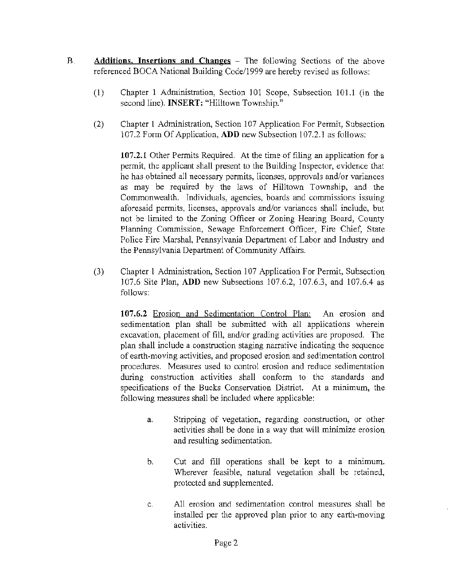- B. **Additions, Insertions and Changes** The following Sections of the above referenced BOCA National Building Code/1999 are hereby revised as follows:
	- (1) Chapter 1 Administration, Section 101 Scope, Subsection 101.1 (in the second line). **INSERT:** "Hilltown Township."
	- (2) Chapter 1 Administration, Section 107 Application For Permit, Subsection 107.2 Form Of Application, **ADD** new Subsection 107.2.1 as follows:

**107.2.1** Other Permits Required. At the time of filing an application for a permit, the applicant shall present to the Building Inspector, evidence that he has obtained all necessary pennits, licenses, approvals and/or variances as may be required by the laws of Hilltown Township, and the Commonwealth. Individuals, agencies, boards and commissions issuing aforesaid permits, licenses, approvals and/or variances shall include, but not be limited to the Zoning Officer or Zoning Hearing Board, County Planning Commission, Sewage Enforcement Officer, Fire Chief, State Police Fire Marshal, Pennsylvania Department of Labor and Industry and the Pennsylvania Department of Community Affairs.

(3) Chapter 1 Administration, Section 107 Application For Permit, Subsection 107.6 Site Plan, **ADD** new Subsections 107.6.2, 107.6.3, and 107.6.4 as follows:

**107.6.2** Erosion and Sedimentation Control Plan: An erosion and sedimentation plan shall be submitted with all applications wherein excavation, placement of fill, and/or grading activities are proposed. The plan shall include a construction staging narrative indicating the sequence of earth-moving activities, and proposed erosion and sedimentation control procedures. Measures used to control erosion and reduce sedimentation during construction activities shall conform to the standards and specifications of the Bucks Conservation District. At a minimum, the following measures shall be included where applicable:

- a. Stripping of vegetation, regarding construction, or other activities shall be done in a way that will minimize erosion and resulting sedimentation.
- b. Cut and fill operations shall be kept to a minimum. Wherever feasible, natural vegetation shall be retained, protected and supplemented.
- c. All erosion and sedimentation control measures shall be installed per the approved plan prior to any earth-moving activities.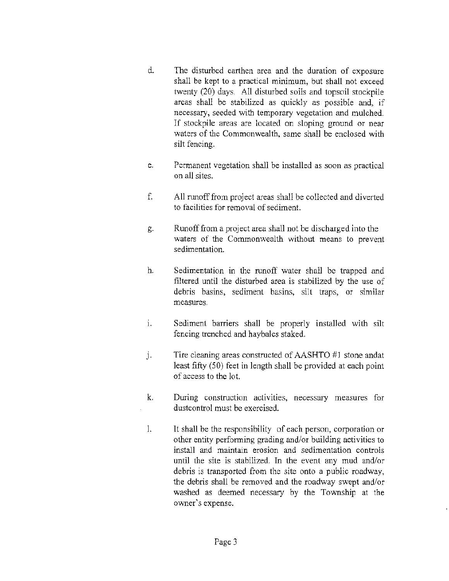- d. The disturbed earthen area and the duration of exposure shall be kept to a practical minimum, but shall not exceed twenty (20) days. All disturbed soils and topsoil stockpile areas shall be stabilized as quickly as possible and, if necessary, seeded with temporary vegetation and mulched. If stockpile areas are located on sloping ground or near waters of the Commonwealth, same shall be enclosed with silt fencing.
- e. Permanent vegetation shall be installed as soon as practical on all sites.
- f. All runoff from project areas shall be collected and diverted to facilities for removal of sediment.
- g. Runoff from a project area shall not be discharged into the waters of the Commonwealth without means to prevent sedimentation.
- h. Sedimentation in the runoff water shall be trapped and filtered until the disturbed area is stabilized by the use of debris basins, sediment basins, silt traps, or similar measures.
- 1. Sediment barriers shall be properly installed with silt fencing trenched and haybales staked.
- j. Tire cleaning areas constructed of AASHTO #J stone andat least fifty (50) feet in length shall be provided at each point of access to the lot.
- k. During construction activities, necessary measures for dustcontrol must be exercised.
- 1. It shall be the responsibility of each person, corporation or other entity performing grading and/or building activities to install and maintain erosion and sedimentation controls until the site is stabilized. In the event any mud and/or debris is transported from the site onto a public roadway, the debris shall be removed and the roadway swept and/or washed as deemed necessary by the Township at the owner's expense.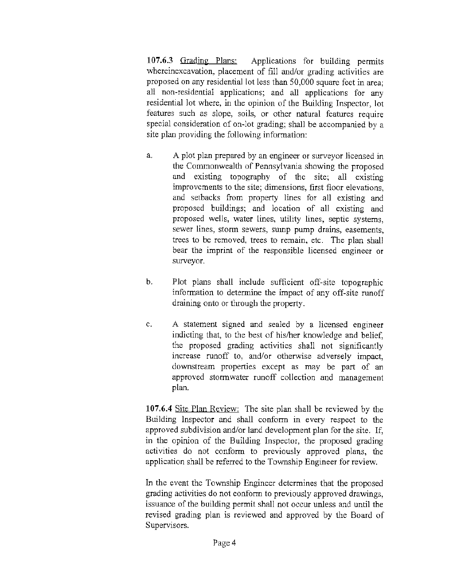**107.6.3** Grading Plans: Applications for building permits whereinexcavation, placement of fill and/or grading activities are proposed on any residential lot less than 50,000 square feet in area; all non-residential applications; and all applications for any residential lot where, in the opinion of the Building Inspector, lot features such as slope, soils, or other natural features require special consideration of on-lot grading; shall be accompanied by a site plan providing the following information:

- a. A plot plan prepared by an engineer or surveyor licensed in the Commonwealth of Pennsylvania showing the proposed and existing topography of the site; all existing improvements to the site; dimensions, first floor elevations, and setbacks from property lines for all existing and proposed buildings; and location of all existing and proposed wells, water lines, utility lines, septic systems, sewer lines, stonn sewers, sump pump drains, easements, trees to be removed, trees to remain, etc. The plan shall bear the imprint of the responsible licensed engineer or surveyor.
- b. Plot plans shall include sufficient off-site topographic information to determine the impact of any off-site runoff draining onto or through the property.
- c. A statement signed and sealed by a licensed engineer indicting that, to the best of his/her knowledge and belief, the proposed grading activities shall not significantly increase runoff to, and/or otherwise adversely impact, downstream properties except as may be part of an approved stormwater runoff collection and management plan.

107.6.4 Site Plan Review: The site plan shall be reviewed by the Building Inspector and shall conform in every respect to the approved subdivision and/or land development plan for the site. If, in the opinion of the Building Inspector, the proposed grading activities do not conform to previously approved plans, the application shall be referred to the Township Engineer for review.

In the event the Township Engineer determines that the proposed grading activities do not conform to previously approved drawings, issuance of the building permit shall not occur unless and until the revised grading plan is reviewed and approved by the Board of Supervisors.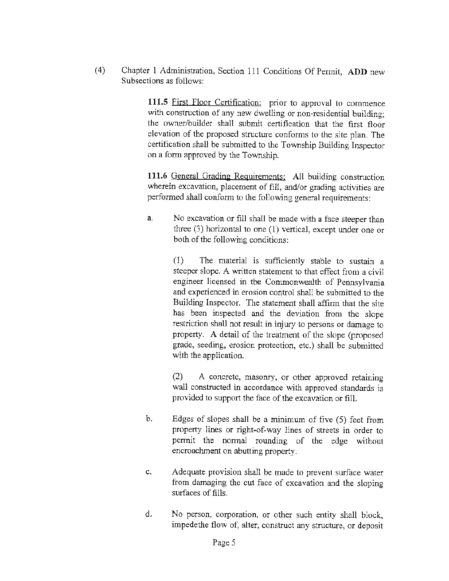(4) Chapter 1 Administration, Section 111 Conditions Of Permit, **ADD** new Subsections as follows:

> **111.5** First Floor Certification: prior to approval to commence with construction of any new dwelling or non-residential building; the owner/builder shall submit certification that the first floor elevation of the proposed structure conforms to the site plan. The certification shall be submitted to the Township Building Inspector on a form approved by the Township.

> 111.6 General Grading Requirements: All building construction wherein excavation, placement of fill, and/or grading activities are performed shall conform to the following general requirements:

> a. No excavation or fill shall be made with a face steeper than three (3) horizontal to one (1) vertical, except under one or both of the following conditions:

> > (1) The material is sufficiently stable to sustain a steeper slope. A written statement to that effect from a civil engineer licensed in the Commonwealth of Pennsylvania and experienced in erosion control shall be submitted to the Building Inspector. The statement shall affirm that the site has been inspected and the deviation from the slope restriction shall not result in injury to persons or damage to property. A detail of the treatment of the slope (proposed grade, seeding, erosion protection, etc.) shall be submitted with the application.

> > (2) A concrete, masonry, or other approved retaining wall constructed in accordance with approved standards is provided to support the face of the excavation or fill.

- b. Edges of slopes shall be a minimum of five (5) feet from property lines or right-of-way lines of streets in order to permit the normal rounding of the edge without encroachment on abutting property.
- c. Adequate provision shall be made to prevent surface water from damaging the cut face of excavation and the sloping surfaces of fills.
- d. No person, corporation, or other such entity shall block, impedethe flow of, alter, construct any structure, or deposit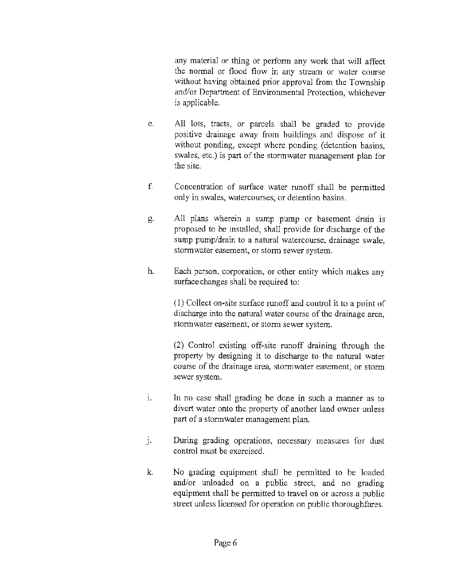any material or thing or perform any work that will affect the normal or flood flow in any stream or water course without having obtained prior approval from the Township and/or Department of Environmental Protection, whichever is applicable.

- e. All lots, tracts, or parcels shall be graded to provide positive drainage away from buildings and dispose of it without ponding, except where ponding (detention basins, swales, etc.) is part of the stonnwater management plan for the site.
- f. Concentration of surface water runoff shall be permitted only in swales, watercourses, or detention basins.
- g. All plans wherein a sump pump or basement drain is proposed to be installed, shall provide for discharge of the sump pump/drain to a natural watercourse, drainage swale, stormwater easement, or storm sewer system.
- h. Each person, corporation, or other entity which makes any surface changes shall be required to:

(1) Collect on-site surface runoff and control it to a point of discharge into the natural water course of the drainage area, stormwater easement, or storm sewer system.

(2) Control existing off-site runoff draining through the property by designing it to discharge to the natural water course of the drainage area, stormwater easement, or storm sewer system.

- i. In no case shall grading be done in such a manner as to divert water onto the property of another land owner unless part of a stormwater management plan.
- j. During grading operations, necessary measures for dust control must be exercised.
- k. No grading equipment shall be permitted to be loaded and/or unloaded on a public street, and no grading equipment shall be pennitted to travel on or across a public street unless licensed for operation on public thoroughfares.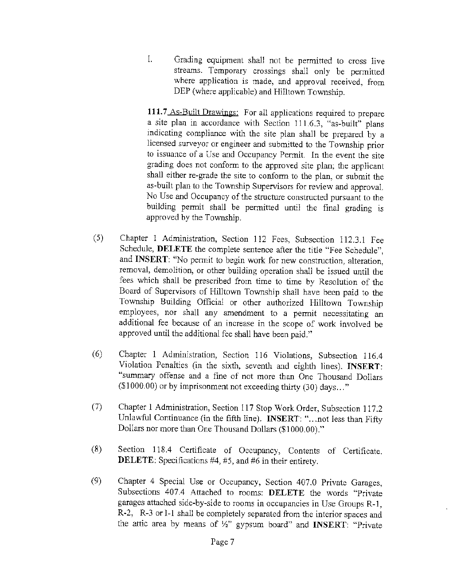I. Grading equipment shall not be permitted to cross live streams. Temporary crossings shall only be permitted where application is made, and approval received, from DEP (where applicable) and Hilltown Township.

**111.7** As-Built Drawings: For all applications required to prepare a site plan in accordance with Section 111.6.3, "as-built" plans indicating compliance with the site plan shall be prepared by a licensed surveyor or engineer and submitted to the Township prior to issuance of a Use and Occupancy Permit. In the event the site grading does not conform to the approved site plan; the applicant shall either re-grade the site to conform to the plan, or submit the as-built plan to the Township Supervisors for review and approval. No Use and Occupancy of the structure constructed pursuant to the building permit shall be permitted until the final grading is approved by the Township.

- (5) Chapter 1 Administration, Section 112 Fees, Subsection 112.3.1 Fee Schedule, **DELETE** the complete sentence after the title "Fee Schedule", and **INSERT:** "No permit to begin work for new construction, alteration, removal, demolition, or other building operation shall be issued until the fees which shall be prescribed from time to time by Resolution of the Board of Supervisors of Hilltown Township shall have been paid to the Township Building Official or other authorized Hilltown Township employees, nor shall any amendment to a permit necessitating an additional fee because of an increase in the scope of work involved be approved until the additional fee shall have been paid."
- (6) Chapter 1 Administration, Section 116 Violations, Subsection 116.4 Violation Penalties (in the sixth, seventh and eighth lines). **INSERT:**  "summary offense and a fine of not more than One Thousand Dollars  $($ \$1000.00) or by imprisonment not exceeding thirty  $(30)$  days..."
- (7) Chapter 1 Administration, Section 117 Stop Work Order, Subsection 117.2 Unlawful Continuance (in the fifth line). **INSERT:** "... not less than Fifty Dollars nor more than One Thousand Dollars (\$1000.00)."
- (8) Section 118.4 Certificate of Occupancy, Contents of Certificate. **DELETE:** Specifications #4, #5, and #6 in their entirety.
- (9) Chapter 4 Special Use or Occupancy, Section 407.0 Private Garages, Subsections 407.4 Attached to rooms: **DELETE** the words "Private garages attached side-by-side to rooms in occupancies in Use Groups R-1, R-2, R-3 or 1-1 shall be completely separated from the interior spaces and the attic area by means of W' gypsum board" and **INSERT:** "Private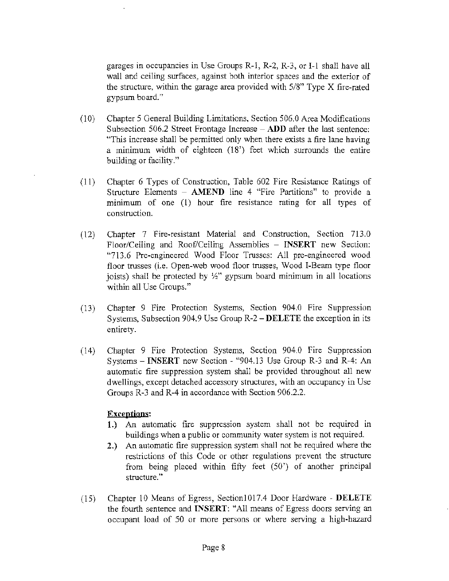garages in occupancies in Use Groups R-1, R-2, R-3, or I-1 shall have all wall and ceiling surfaces, against both interior spaces and the exterior of the structure, within the garage area provided with 5/8" Type X fire-rated gypsum board."

- (10) Chapter 5 General Building Limitations, Section 506.0 Area Modifications Subsection 506.2 Street Frontage Increase - **ADD** after the last sentence: "This increase shall be permitted only when there exists a fire lane having a minimum width of eighteen (18') feet which surrounds the entire building or facility."
- ( 11) Chapter 6 Types of Construction, Table 602 Fire Resistance Ratings of Structure Elements - **AMEND** line 4 "Fire Partitions" to provide a minimum of one (I) hour fire resistance rating for all types of construction.
- (12) Chapter 7 Fire-resistant Material and Construction, Section 713.0 Floor/Ceiling and Roof/Ceiling Assemblies - **INSERT** new Section: "713.6 Pre-engineered Wood Floor Trusses: All pre-engineered wood floor trusses (i.e. Open-web wood floor trusses, Wood I-Beam type floor joists) shall be protected by  $\frac{1}{2}$ " gypsum board minimum in all locations within all Use Groups."
- (13) Chapter 9 Fire Protection Systems, Section 904.0 Fire Suppression Systems, Subsection 904.9 Use Group R-2 **-DELETE** the exception in its entirety.
- (14) Chapter 9 Fire Protection Systems, Section 904.0 Fire Suppression Systems - **INSERT** new Section - "904.13 Use Group R-3 and R-4: An automatic fire suppression system shall be provided throughout all new dwellings, except detached accessory structures, with an occupancy in Use Groups R-3 and R-4 in accordance with Section 906.2.2.

### **Exceptions:**

- **1.)** An automatic fire suppression system shall not be required in buildings when a public or community water system is not required.
- **2.)** An automatic fire suppression system shall not be required where the restrictions of this Code or other regulations prevent the structure from being placed within fifty feet (50') of another principal structure."
- (15) Chapter 10 Means of Egress, Section1017.4 Door Hardware **DELETE**  the fourth sentence and **INSERT:** "All means of Egress doors serving an occupant load of 50 or more persons or where serving a high-hazard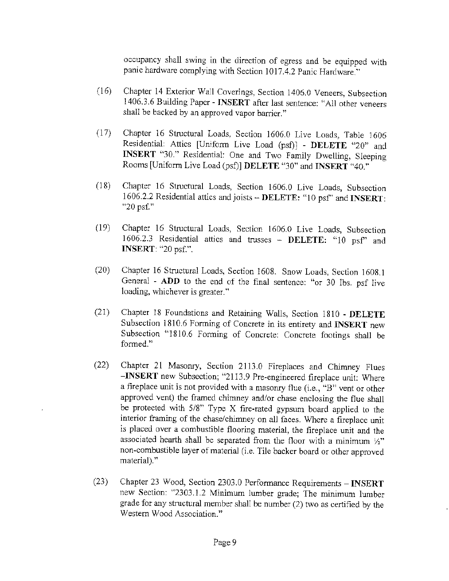occupancy shall swing in the direction of egress and be equipped with panic hardware complying with Section 1017.4.2 Panic Hardware."

- (16) Chapter 14 Exterior Wall Coverings, Section 1406.0 Veneers, Subsection 1406.3.6 Building Paper - **INSERT** after last sentence: "All other veneers shall be backed by an approved vapor barrier."
- (17) Chapter 16 Structural Loads, Section 1606.0 Live Loads, Table 1606 Residential: Attics [Uniform Live Load (psf)] - **DELETE** "20" and **INSERT** "30." Residential: One and Two Family Dwelling, Sleeping Rooms [Uniform Live Load (psi)] **DELETE** "30" and **INSERT** "40."
- (18) Chapter 16 Structural Loads, Section 1606.0 Live Loads, Subsection 1606.2.2 Residential attics and joists - **DELETE:** "l O psf' and **INSERT:**  "20 psf."
- (19) Chapter 16 Structural Loads, Section 1606.0 Live Loads, Subsection 1606.2.3 Residential attics and trusses - **DELETE:** "10 psf' and **INSERT:** "20 psf.".
- (20) Chapter 16 Structural Loads, Section 1608. Snow Loads, Section 1608.1 General - **ADD** to the end of the final sentence: "or 30 lbs. psf live loading, whichever is greater."
- (21) Chapter 18 Foundations and Retaining Walls, Section 1810 **DELETE**  Subsection 1810.6 Forming of Concrete in its entirety and **INSERT** new Subsection "1810.6 Forming of Concrete: Concrete footings shall be formed."
- (22) Chapter 21 Masonry, Section 2113.0 Fireplaces and Chimney Flues **-INSERT** new Subsection; "2113.9 Pre-engineered fireplace unit: Where a fireplace unit is not provided with a masonry flue (i.e., "B" vent or other approved vent) the framed chimney and/or chase enclosing the flue shall be protected with 5/8" Type X fire-rated gypsum board applied to the interior framing of the chase/chimney on all faces. Where a fireplace unit is placed over a combustible flooring material, the fireplace unit and the associated hearth shall be separated from the floor with a minimum  $\frac{1}{2}$ " non-combustible layer of material (i.e. Tile backer board or other approved material)."
- (23) Chapter 23 Wood, Section 2303.0 Performance Requirements **INSERT**  new Section: "2303.1.2 Minimum lumber grade; The minimum lumber grade for any structural member shall be number (2) two as certified by the Western Wood Association."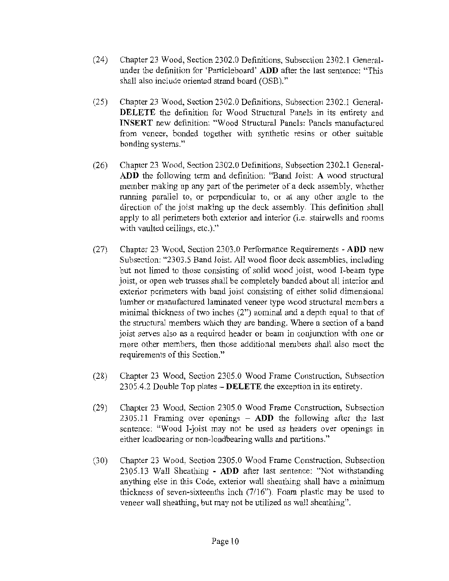- (24) Chapter 23 Wood, Section 2302.0 Definitions, Subsection 2302.1 Generalunder the definition for 'Particleboard' **ADD** after the last sentence: "This shall also include oriented strand board (OSB)."
- (25) Chapter 23 Wood, Section 2302.0 Definitions, Subsection 2302. l General-**DELETE** the definition for Wood Structural Panels in its entirety and **INSERT** new definition: "Wood Structural Panels: Panels manufactured from veneer, bonded together with synthetic resins or other suitable bonding systems."
- (26) Chapter 23 Wood, Section 2302.0 Definitions, Subsection 2302.1 General-**ADD** the following term and definition: "Band Joist: A wood structural member making up any part of the perimeter of a deck assembly, whether running parallel to, or perpendicular to, or at any other angle to the direction of the joist making up the deck assembly. This definition shall apply to all perimeters both exterior and interior (i.e. stairwells and rooms with vaulted ceilings, etc.)."
- (27) Chapter 23 Wood, Section 2303.0 Performance Requirements **ADD** new Subsection: "2303.5 Band Joist. All wood floor deck assemblies, including but not limed to those consisting of solid wood joist, wood I-beam type joist, or open web trusses shall be completely banded about all interior and exterior perimeters with band joist consisting of either solid dimensional lumber or manufactured laminated veneer type wood structural members a minimal thickness of two inches (2") nominal and a depth equal to that of the structural members which they are banding. Where a section of a band joist serves also as a required header or beam in conjunction with one or more other members, then those additional members shall also meet the requirements of this Section."
- (28) Chapter 23 Wood, Section 2305.0 Wood Frame Construction, Subsection 2305.4.2 Double Top plates **- DELETE** the exception in its entirety.
- (29) Chapter 23 Wood, Section 2305.0 Wood Frame Construction, Subsection 2305.11 Framing over openings - **ADD** the following after the last sentence: "Wood I-joist may not be used as headers over openings in either loadbearing or non-loadbearing walls and partitions."
- (30) Chapter 23 Wood, Section 2305.0 Wood Frame Construction, Subsection 2305.13 Wall Sheathing - **ADD** after last sentence: "Not withstanding anything else in this Code, exterior wall sheathing shall have a minimum thickness of seven-sixteenths inch (7/16"). Foam plastic may be used to veneer wall sheathing, but may not be utilized as wall sheathing".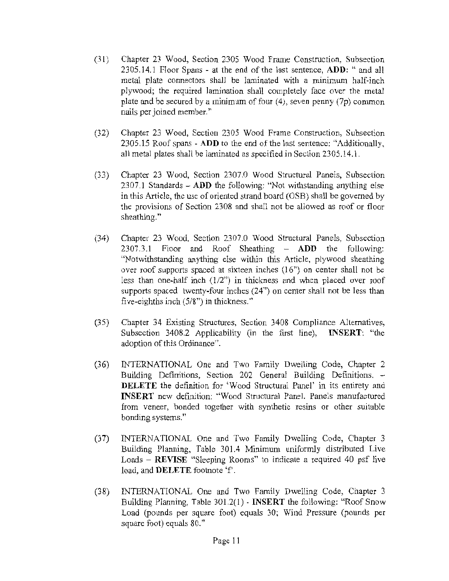- (31) Chapter 23 Wood, Section 2305 Wood Frame Construction, Subsection 2305.14.1 Floor Spans - at the end of the last sentence, **ADU:** " and all metal plate connectors shall be laminated with a minimum half-inch plywood; the required lamination shall completely face over the metal plate and be secured by a minimum of four (4), seven penny (7p) common nails per joined member."
- (32) Chapter 23 Wood, Section 2305 Wood Frame Construction, Subsection 2305.15 Roof spans - **ADD** to the end of the last sentence: "Additionally, all metal plates shall be laminated as specified in Section 2305.14.1.
- (33) Chapter 23 Wood, Section 2307.0 Wood Structural Panels, Subsection 2307.1 Standards - **ADD** the following: "Not withstanding anything else in this Article, the use of oriented strand board (OSB) shall be governed by the provisions of Section 2308 and shall not be allowed as roof or floor sheathing."
- (34) Chapter 23 Wood, Section 2307.0 Wood Structural Panels, Subsection 2307.3.1 Floor and Roof Sheathing - **ADD** the following: "Notwithstanding anything else within this Article, plywood sheathing over roof supports spaced at sixteen inches ( 16") on center shall not be less than one-half inch (1/2") in thickness and when placed over roof supports spaced twenty-four inches (24") on center shall not be less than five-eighths inch (5/8") in thickness."
- (35) Chapter 34 Existing Structures, Section 3408 Compliance Alternatives, Subsection 3408.2 Applicability (in the first line), **INSERT:** "the adoption of this Ordinance".
- (36) INTERNATIONAL One and Two Family Dwelling Code, Chapter 2 Building Definitions, Section 202 General Building Definitions. - **DELETE** the definition for ' Wood Structural Panel' in its entirety and **INSERT** new definition: "Wood Structural Panel. Panels manufactured from veneer, bonded together with synthetic resins or other suitable bonding systems."
- (37) INTERNATIONAL One and Two Family Dwelling Code, Chapter 3 Building Planning, Table 301 .4 Minimum uniformly distributed Live Loads - **REVISE** "Sleeping Rooms" to indicate a required 40 psf live load, and **DELETE** footnote 'f.
- (38) INTERNATIONAL One and Two Family Dwelling Code, Chapter 3 Building Planning, Table 301.2(1) - **INSERT** the following: "Roof Snow Load (pounds per square foot) equals 30; Wind Pressure (pounds per square foot) equals 80."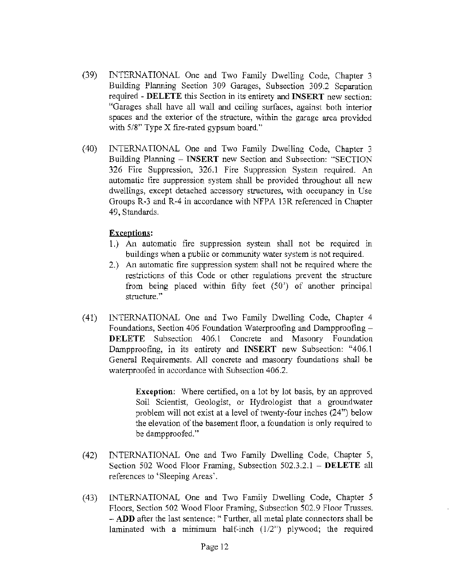- (39) INTERNATIONAL One and Two Family Dwelling Code, Chapter 3 Building Planning Section 309 Garages, Subsection 309.2 Separation required - **DELETE** this Section in its entirety and **INSERT** new section: "Garages shall have all wall and ceiling surfaces, against both interior spaces and the exterior of the structure, within the garage area provided with 5/8" Type X fire-rated gypsum board."
- (40) INTERNATIONAL One and Two Family Dwelling Code, Chapter 3 Building Planning - **INSERT** new Section and Subsection: "SECTION 326 Fire Suppression, 326.1 Fire Suppression System required. An automatic fire suppression system shall be provided throughout all new dwellings, except detached accessory structures, with occupancy in Use Groups R-3 and R-4 in accordance with NFPA 13R referenced in Chapter 49, Standards.

### **Exceptions:**

- 1.) An automatic fire suppression system shall not be required in buildings when a public or community water system is not required.
- 2.) An automatic fire suppression system shall not be required where the restrictions of this Code or other regulations prevent the structure from being placed within fifty feet (50') of another principal structure."
- (41) INTERNATIONAL One and Two Family Dwelling Code, Chapter 4 Foundations, Section 406 Foundation Waterproofing and Dampproofing - **DELETE** Subsection 406.1 Concrete and Masonry Foundation Dampproofing, in its entirety and **INSERT** new Subsection: "406. l General Requirements. All concrete and masonry foundations shall be waterproofed in accordance with Subsection 406.2.

**Exception:** Where certified, on a lot by lot basis, by an approved Soil Scientist, Geologist, or Hydrologist that a groundwater problem will not exist at a level of twenty-four inches (24") below the elevation of the basement floor, a foundation is only required to be dampproofed."

- (42) INTERNATIONAL One and Two Family Dwelling Code, Chapter 5, Section 502 Wood Floor Framing, Subsection 502.3.2.1 - **DELETE** all references to 'Sleeping Areas'.
- (43) INTERNATIONAL One and Two Family Dwelling Code, Chapter 5 Floors, Section 502 Wood Floor Framing, Subsection 502.9 Floor Trusses. **-ADD** after the last sentence:" Further, all metal plate connectors shall be laminated with a mimimum half-inch  $(1/2)$  plywood; the required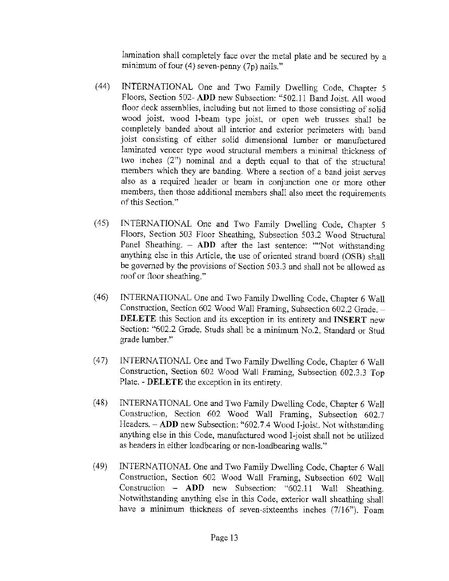lamination shall completely face over the metal plate and be secured by a minimum of four  $(4)$  seven-penny  $(7p)$  nails."

- (44) INTERNATIONAL One and Two Family Dwelling Code, Chapter 5 Floors, Section 502- **ADD** new Subsection: "502.11 Band Joist. All wood floor deck assemblies, including but not limed to those consisting of solid wood joist, wood I-beam type joist, or open web trusses shall be completely banded about all interior and exterior perimeters with band joist consisting of either solid dimensional lumber or manufactured laminated veneer type wood structural members a minimal thickness of two inches (2") nominal and a depth equal to that of the structural members which they are banding. Where a section of a band joist serves also as a required header or beam in conjunction one or more other members, then those additional members shall also meet the requirements of this Section."
- ( 45) INTERNATIONAL One and Two Family Dwelling Code, Chapter 5 Floors, Section 503 Floor Sheathing, Subsection 503.2 Wood Structural Panel Sheathing. - **ADD** after the last sentence: ""Not withstanding anything else in this Article, the use of oriented strand board (OSB) shall be governed by the provisions of Section 503.3 and shall not be allowed as roof or floor sheathing."
- (46) INTERNATIONAL One and Two Family Dwelling Code, Chapter 6 Wall Construction, Section 602 Wood Wall Framing, Subsection 602.2 Grade. -**DELETE** this Section and its exception in its entirety and **INSERT** new Section: "602.2 Grade. Studs shall be a minimum No.2, Standard or Stud grade lumber."
- (47) INTERNATIONAL One and Two Family Dwelling Code, Chapter 6 Wall Construction, Section 602 Wood Wall Framing, Subsection 602.3.3 Top Plate. - **DELETE** the exception in its entirety.
- (48) INTERNATIONAL One and Two Family Dwelling Code, Chapter 6 Wall Construction, Section 602 Wood Wall Framing, Subsection 602.7 Headers. - **ADD** new Subsection: "602.7.4 Wood I-joist. Not withstanding anything else in this Code, manufactured wood I-joist shall not be utilized as headers in either loadbcaring or non-loadbearing walls."
- (49) **INTERNATIONAL One and Two Family Dwelling Code, Chapter 6 Wall** Construction, Section 602 Wood Wall Framing, Subsection 602 Wall Construction - **ADD** new Subsection: "602.11 Wall Sheathing. Notwithstanding anything else in this Code, exterior wall sheathing shall have a minimum thickness of seven-sixteenths inches (7/16"). Foam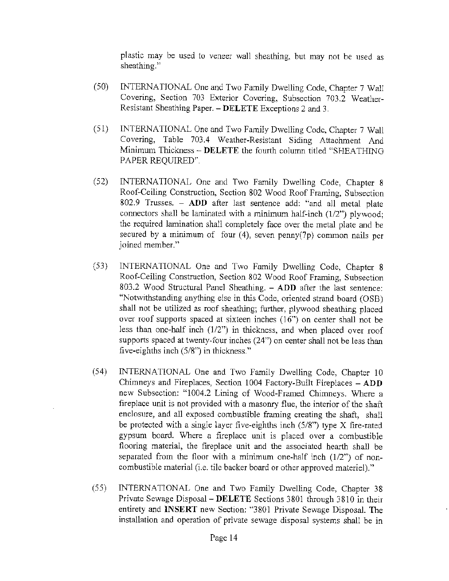plastic may be used to veneer wall sheathing, but may not be used as sheathing."

- (50) INTERNATIONAL One and Two Family Dwelling Code, Chapter 7 Wall Covering, Section 703 Exterior Covering, Subsection 703.2 Weather-Resistant Sheathing Paper. - **DELETE** Exceptions 2 and 3.
- (51) INTERNATIONAL One and Two Family Dwelling Code, Chapter 7 Wall Covering, Table 703.4 Weather-Resistant Siding Attachment And Minimum Thickness - **DELETE** the fourth column titled "SHEATHING PAPER REQUIRED''.
- (52) INTERNATIONAL One and Two Family Dwelling Code, Chapter 8 Roof-Ceiling Construction, Section 802 Wood Roof Framing, Subsection 802.9 Trusses. - **ADD** after last sentence add: "and all metal plate connectors shall be laminated with a minimum half-inch (1/2") plywood; the required lamination shall completely face over the metal plate and be secured by a minimum of four (4), seven penny(7p) common nails per joined member."
- (53) INTERNATIONAL One and Two Family Dwelling Code, Chapter 8 Roof-Ceiling Construction, Section 802 Wood Roof Framing, Subsection 803.2 Wood Structural Panel Sheathing. - **ADD** after the last sentence: "Notwithstanding anything else in this Code, oriented strand board (OSB) shall not be utilized as roof sheathing; further, plywood sheathing placed over roof supports spaced at sixteen inches  $(16)$  on center shall not be less than one-half inch (1/2") in thickness, and when placed over roof supports spaced at twenty-four inches (24") on center shall not be less than five-eighths inch (5/8") in thickness. "
- (54) INTERNATIONAL One and Two Family Dwelling Code, Chapter 10 Chimneys and Fireplaces, Section 1004 Factory~Built Fireplaces - **ADD**  new Subsection: "1004.2 Lining of Wood-Framed Chimneys. Where a fireplace unit is not provided with a masonry flue, the interior of the shaft enclosure, and all exposed combustible framing creating the shaft, shall be protected with a single layer five-eighths inch (5/8") type X fire-rated gypswn board. Where a fireplace unit is placed over a combustible flooring material, the fireplace unit and the associated hearth shall be separated from the floor with a minimum one-half inch  $(1/2)$  of noncombustible material (i.e. tile backer board or other approved materiel)."
- (55) INTERNATIONAL One and Two Family Dwelling Code, Chapter 38 Private Sewage Disposal- **DELETE** Sections 3801 through 3810 in their entirety and **INSERT** new Section: "3801 Private Sewage Disposal. The installation and operation of private sewage disposal systems shall be in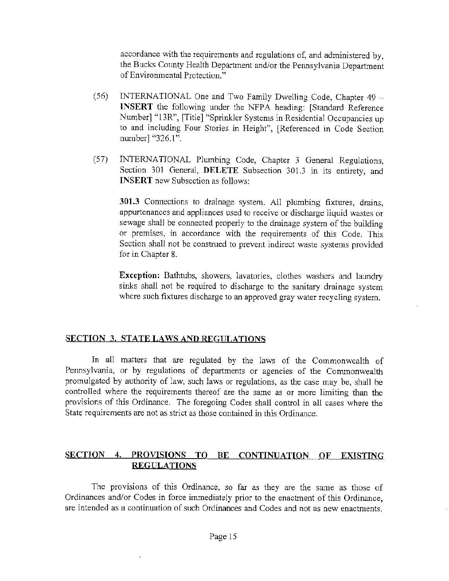accordance with the requirements and regulations of, and administered by, the Bucks County Health Department and/or the Pennsylvania Department of Environmental Protection."

- (56) INTERNATIONAL One and Two Family Dwelling Code, Chapter 49 **INSERT** the following under the NFPA heading: [Standard Reference Number] "13R", [Title] "Sprinkler Systems in Residential Occupancies up to and including Four Stories in Height", [Referenced in Code Section number] "326.1".
- (57) INTERNATIONAL Plumbing Code, Chapter 3 General Regulations, Section 301 General, **DELETE** Subsection 301.3 in its entirety, and **INSERT** new Subsection as follows:

**301.3** Connections to drainage system. All plumbing fixtures, drains, appurtenances and appliances used to receive or discharge liquid wastes or sewage shall be connected properly to the drainage system of the building or premises, in accordance with the requirements of this Code. This Section shall not be construed to prevent indirect waste systems provided for in Chapter 8.

**Exception:** Bathtubs, showers, lavatories, clothes washers and laundry sinks shall not be required to discharge to the sanitary drainage system where such fixtures discharge to an approved gray water recycling system.

## **SECTION 3. STATE LAWS AND REGULATIONS**

In all matters that are regulated by the laws of the Commonwealth of Pennsylvania, or by regulations of departments or agencies of the Commonwealth promulgated by authority of law, such laws or regulations, as the case may be, shall be controlled where the requirements thereof are the same as or more limiting than the provisions of this Ordinance. The foregoing Codes shall control in all cases where the State requirements are not as strict as those contained in this Ordinance.

## **SECTION 4. PROVISIONS TO BE CONTINUATION OF EXISTING REGULATIONS**

The provisions of this Ordinance, so far as they are the same as those of Ordinances and/or Codes in force immediately prior to the enactment of this Ordinance, are intended as a continuation of such Ordinances and Codes and not as new enactments.